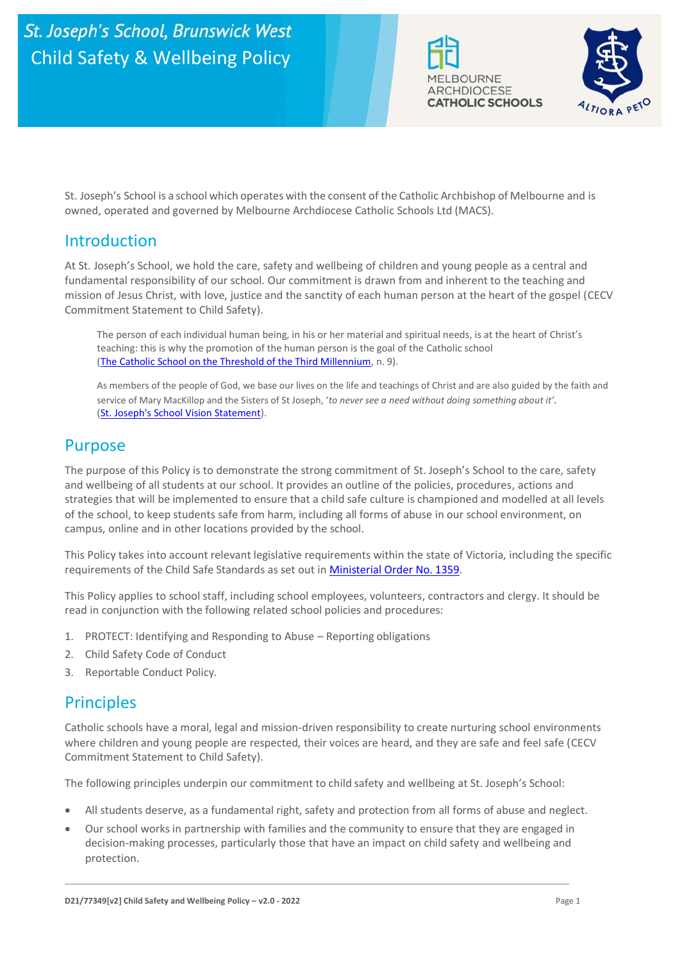



St. Joseph's School is a school which operates with the consent of the Catholic Archbishop of Melbourne and is owned, operated and governed by Melbourne Archdiocese Catholic Schools Ltd (MACS).

## Introduction

At St. Joseph's School, we hold the care, safety and wellbeing of children and young people as a central and fundamental responsibility of our school. Our commitment is drawn from and inherent to the teaching and mission of Jesus Christ, with love, justice and the sanctity of each human person at the heart of the gospel (CECV Commitment Statement to Child Safety).

The person of each individual human being, in his or her material and spiritual needs, is at the heart of Christ's teaching: this is why the promotion of the human person is the goal of the Catholic school [\(The Catholic School on the Threshold of the Third Millennium,](http://www.vatican.va/roman_curia/congregations/ccatheduc/documents/rc_con_ccatheduc_doc_27041998_school2000_en.html) n. 9).

As members of the people of God, we base our lives on the life and teachings of Christ and are also guided by the faith and service of Mary MacKillop and the Sisters of St Joseph, '*to never see a need without doing something about it'.* [\(St. Joseph's School Vision Statement\)](https://c234ffca-8cfb-4fe6-9261-9dadc465f40e.usrfiles.com/ugd/c234ff_b8472994e7ec43c5b2a193ce4d78a3c1.pdf).

# Purpose

The purpose of this Policy is to demonstrate the strong commitment of St. Joseph's School to the care, safety and wellbeing of all students at our school. It provides an outline of the policies, procedures, actions and strategies that will be implemented to ensure that a child safe culture is championed and modelled at all levels of the school, to keep students safe from harm, including all forms of abuse in our school environment, on campus, online and in other locations provided by the school.

This Policy takes into account relevant legislative requirements within the state of Victoria, including the specific requirements of the Child Safe Standards as set out i[n Ministerial Order No. 1359.](https://www.vrqa.vic.gov.au/Documents/MinOrder1359childsafe.pdf)

This Policy applies to school staff, including school employees, volunteers, contractors and clergy. It should be read in conjunction with the following related school policies and procedures:

- 1. PROTECT: Identifying and Responding to Abuse Reporting obligations
- 2. Child Safety Code of Conduct
- 3. Reportable Conduct Policy.

## **Principles**

Catholic schools have a moral, legal and mission-driven responsibility to create nurturing school environments where children and young people are respected, their voices are heard, and they are safe and feel safe (CECV Commitment Statement to Child Safety).

The following principles underpin our commitment to child safety and wellbeing at St. Joseph's School:

- All students deserve, as a fundamental right, safety and protection from all forms of abuse and neglect.
- Our school works in partnership with families and the community to ensure that they are engaged in decision-making processes, particularly those that have an impact on child safety and wellbeing and protection.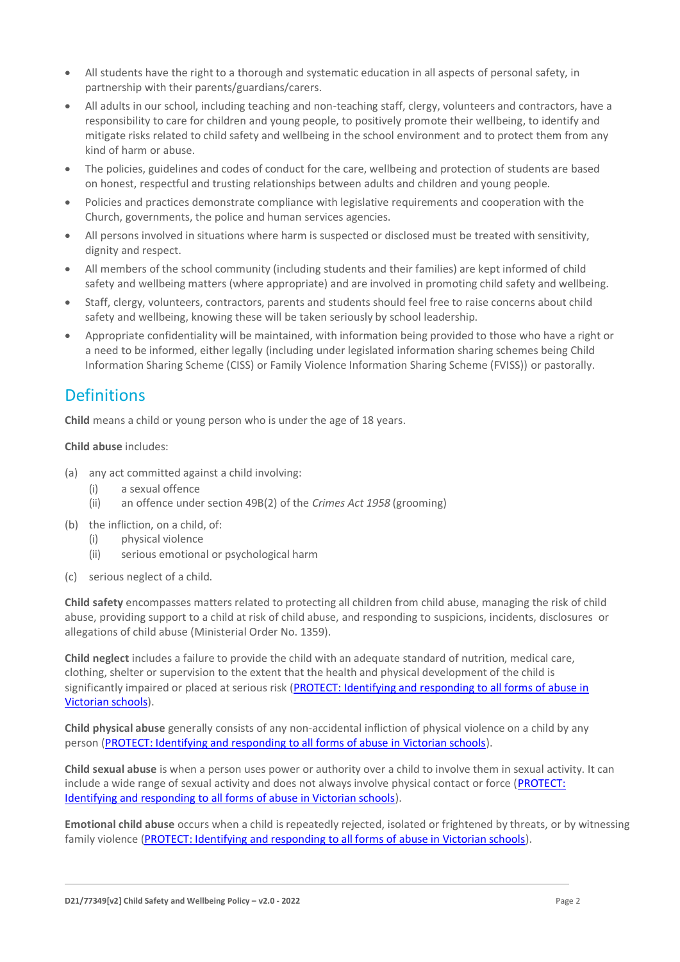- All students have the right to a thorough and systematic education in all aspects of personal safety, in partnership with their parents/guardians/carers.
- All adults in our school, including teaching and non-teaching staff, clergy, volunteers and contractors, have a responsibility to care for children and young people, to positively promote their wellbeing, to identify and mitigate risks related to child safety and wellbeing in the school environment and to protect them from any kind of harm or abuse.
- The policies, guidelines and codes of conduct for the care, wellbeing and protection of students are based on honest, respectful and trusting relationships between adults and children and young people.
- Policies and practices demonstrate compliance with legislative requirements and cooperation with the Church, governments, the police and human services agencies.
- All persons involved in situations where harm is suspected or disclosed must be treated with sensitivity, dignity and respect.
- All members of the school community (including students and their families) are kept informed of child safety and wellbeing matters (where appropriate) and are involved in promoting child safety and wellbeing.
- Staff, clergy, volunteers, contractors, parents and students should feel free to raise concerns about child safety and wellbeing, knowing these will be taken seriously by school leadership.
- Appropriate confidentiality will be maintained, with information being provided to those who have a right or a need to be informed, either legally (including under legislated information sharing schemes being Child Information Sharing Scheme (CISS) or Family Violence Information Sharing Scheme (FVISS)) or pastorally.

# Definitions

**Child** means a child or young person who is under the age of 18 years.

#### **Child abuse** includes:

- (a) any act committed against a child involving:
	- (i) a sexual offence
	- (ii) an offence under section 49B(2) of the *Crimes Act 1958* (grooming)
- (b) the infliction, on a child, of:
	- (i) physical violence
	- (ii) serious emotional or psychological harm
- (c) serious neglect of a child.

**Child safety** encompasses matters related to protecting all children from child abuse, managing the risk of child abuse, providing support to a child at risk of child abuse, and responding to suspicions, incidents, disclosures or allegations of child abuse (Ministerial Order No. 1359).

**Child neglect** includes a failure to provide the child with an adequate standard of nutrition, medical care, clothing, shelter or supervision to the extent that the health and physical development of the child is significantly impaired or placed at serious risk (PROTECT: Identifying and responding to all forms of abuse in [Victorian schools\)](http://www.cecv.catholic.edu.au/getmedia/ebe135a4-d1b3-48a0-81fe-50d4fc451bcd/Identifying-and-Responding-to-All-Forms-of-Abuse.aspx#page%3D27).

**Child physical abuse** generally consists of any non-accidental infliction of physical violence on a child by any person [\(PROTECT: Identifying and responding to all forms of abuse in Victorian schools\)](https://www.cecv.catholic.edu.au/getmedia/ebe135a4-d1b3-48a0-81fe-50d4fc451bcd/Identifying-and-Responding-to-All-Forms-of-Abuse.aspx#page%3D15).

**Child sexual abuse** is when a person uses power or authority over a child to involve them in sexual activity. It can include a wide range of sexual activity and does not always involve physical contact or force [\(PROTECT:](https://www.cecv.catholic.edu.au/getmedia/ebe135a4-d1b3-48a0-81fe-50d4fc451bcd/Identifying-and-Responding-to-All-Forms-of-Abuse.aspx#page%3D17)  [Identifying and responding to all forms of abuse in Victorian schools\)](https://www.cecv.catholic.edu.au/getmedia/ebe135a4-d1b3-48a0-81fe-50d4fc451bcd/Identifying-and-Responding-to-All-Forms-of-Abuse.aspx#page%3D17).

**Emotional child abuse** occurs when a child is repeatedly rejected, isolated or frightened by threats, or by witnessing family violence [\(PROTECT: Identifying and responding to all forms of abuse in Victorian schools\)](https://www.cecv.catholic.edu.au/getmedia/ebe135a4-d1b3-48a0-81fe-50d4fc451bcd/Identifying-and-Responding-to-All-Forms-of-Abuse.aspx#page%3D26).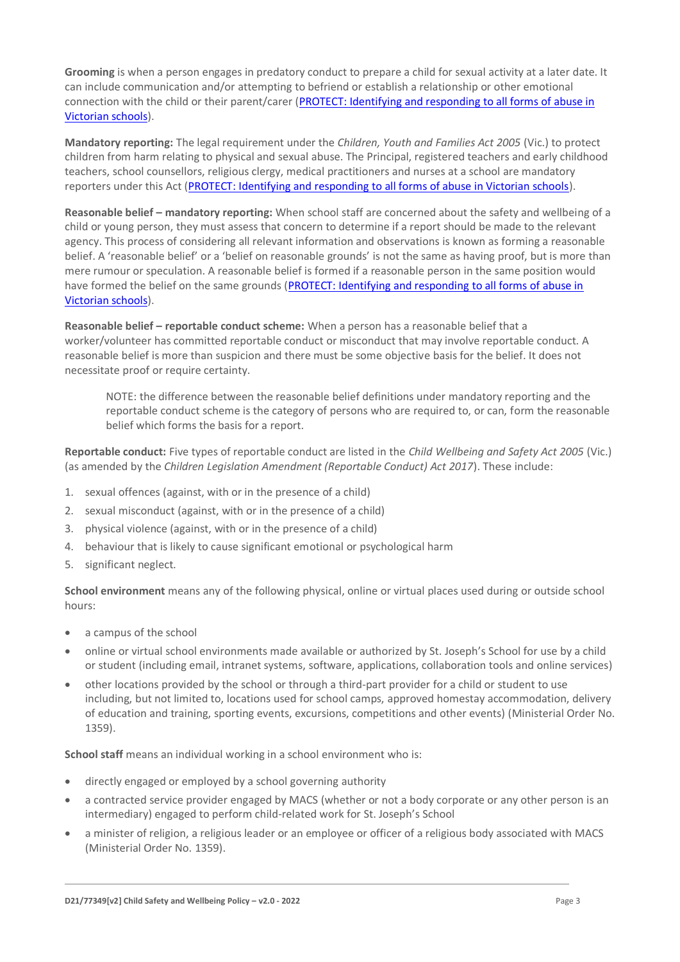**Grooming** is when a person engages in predatory conduct to prepare a child for sexual activity at a later date. It can include communication and/or attempting to befriend or establish a relationship or other emotional connection with the child or their parent/carer (PROTECT: Identifying and responding to all forms of abuse in [Victorian schools\)](https://www.cecv.catholic.edu.au/getmedia/ebe135a4-d1b3-48a0-81fe-50d4fc451bcd/Identifying-and-Responding-to-All-Forms-of-Abuse.aspx#page%3D20).

**Mandatory reporting:** The legal requirement under the *Children, Youth and Families Act 2005* (Vic.) to protect children from harm relating to physical and sexual abuse. The Principal, registered teachers and early childhood teachers, school counsellors, religious clergy, medical practitioners and nurses at a school are mandatory reporters under this Act [\(PROTECT: Identifying and responding to all forms of abuse in Victorian schools\)](http://www.cecv.catholic.edu.au/getmedia/ebe135a4-d1b3-48a0-81fe-50d4fc451bcd/Identifying-and-Responding-to-All-Forms-of-Abuse.aspx#page%3D8).

**Reasonable belief – mandatory reporting:** When school staff are concerned about the safety and wellbeing of a child or young person, they must assess that concern to determine if a report should be made to the relevant agency. This process of considering all relevant information and observations is known as forming a reasonable belief. A 'reasonable belief' or a 'belief on reasonable grounds' is not the same as having proof, but is more than mere rumour or speculation. A reasonable belief is formed if a reasonable person in the same position would have formed the belief on the same grounds (PROTECT: Identifying and responding to all forms of abuse in [Victorian schools\)](http://www.cecv.catholic.edu.au/getmedia/ebe135a4-d1b3-48a0-81fe-50d4fc451bcd/Identifying-and-Responding-to-All-Forms-of-Abuse.aspx#page%3D35).

**Reasonable belief – reportable conduct scheme:** When a person has a reasonable belief that a worker/volunteer has committed reportable conduct or misconduct that may involve reportable conduct. A reasonable belief is more than suspicion and there must be some objective basis for the belief. It does not necessitate proof or require certainty.

NOTE: the difference between the reasonable belief definitions under mandatory reporting and the reportable conduct scheme is the category of persons who are required to, or can, form the reasonable belief which forms the basis for a report.

**Reportable conduct:** Five types of reportable conduct are listed in the *Child Wellbeing and Safety Act 2005* (Vic.) (as amended by the *Children Legislation Amendment (Reportable Conduct) Act 2017*). These include:

- 1. sexual offences (against, with or in the presence of a child)
- 2. sexual misconduct (against, with or in the presence of a child)
- 3. physical violence (against, with or in the presence of a child)
- 4. behaviour that is likely to cause significant emotional or psychological harm
- 5. significant neglect.

**School environment** means any of the following physical, online or virtual places used during or outside school hours:

- a campus of the school
- online or virtual school environments made available or authorized by St. Joseph's School for use by a child or student (including email, intranet systems, software, applications, collaboration tools and online services)
- other locations provided by the school or through a third-part provider for a child or student to use including, but not limited to, locations used for school camps, approved homestay accommodation, delivery of education and training, sporting events, excursions, competitions and other events) (Ministerial Order No. 1359).

**School staff** means an individual working in a school environment who is:

- directly engaged or employed by a school governing authority
- a contracted service provider engaged by MACS (whether or not a body corporate or any other person is an intermediary) engaged to perform child-related work for St. Joseph's School
- a minister of religion, a religious leader or an employee or officer of a religious body associated with MACS (Ministerial Order No. 1359).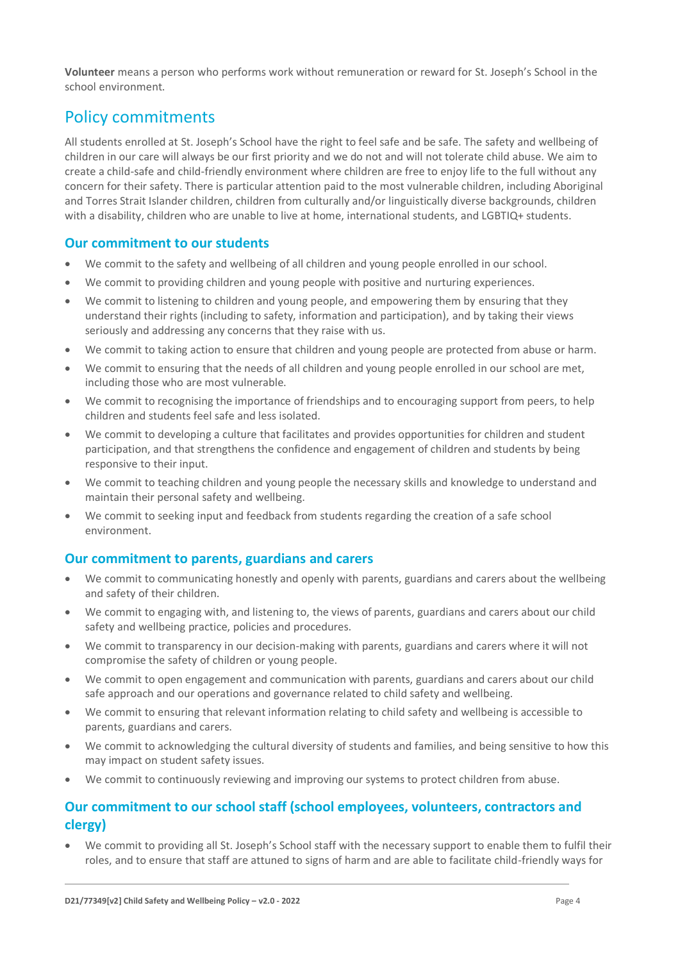**Volunteer** means a person who performs work without remuneration or reward for St. Joseph's School in the school environment.

## Policy commitments

All students enrolled at St. Joseph's School have the right to feel safe and be safe. The safety and wellbeing of children in our care will always be our first priority and we do not and will not tolerate child abuse. We aim to create a child-safe and child-friendly environment where children are free to enjoy life to the full without any concern for their safety. There is particular attention paid to the most vulnerable children, including Aboriginal and Torres Strait Islander children, children from culturally and/or linguistically diverse backgrounds, children with a disability, children who are unable to live at home, international students, and LGBTIQ+ students.

### **Our commitment to our students**

- We commit to the safety and wellbeing of all children and young people enrolled in our school.
- We commit to providing children and young people with positive and nurturing experiences.
- We commit to listening to children and young people, and empowering them by ensuring that they understand their rights (including to safety, information and participation), and by taking their views seriously and addressing any concerns that they raise with us.
- We commit to taking action to ensure that children and young people are protected from abuse or harm.
- We commit to ensuring that the needs of all children and young people enrolled in our school are met, including those who are most vulnerable.
- We commit to recognising the importance of friendships and to encouraging support from peers, to help children and students feel safe and less isolated.
- We commit to developing a culture that facilitates and provides opportunities for children and student participation, and that strengthens the confidence and engagement of children and students by being responsive to their input.
- We commit to teaching children and young people the necessary skills and knowledge to understand and maintain their personal safety and wellbeing.
- We commit to seeking input and feedback from students regarding the creation of a safe school environment.

### **Our commitment to parents, guardians and carers**

- We commit to communicating honestly and openly with parents, guardians and carers about the wellbeing and safety of their children.
- We commit to engaging with, and listening to, the views of parents, guardians and carers about our child safety and wellbeing practice, policies and procedures.
- We commit to transparency in our decision-making with parents, guardians and carers where it will not compromise the safety of children or young people.
- We commit to open engagement and communication with parents, guardians and carers about our child safe approach and our operations and governance related to child safety and wellbeing.
- We commit to ensuring that relevant information relating to child safety and wellbeing is accessible to parents, guardians and carers.
- We commit to acknowledging the cultural diversity of students and families, and being sensitive to how this may impact on student safety issues.
- We commit to continuously reviewing and improving our systems to protect children from abuse.

### **Our commitment to our school staff (school employees, volunteers, contractors and clergy)**

• We commit to providing all St. Joseph's School staff with the necessary support to enable them to fulfil their roles, and to ensure that staff are attuned to signs of harm and are able to facilitate child-friendly ways for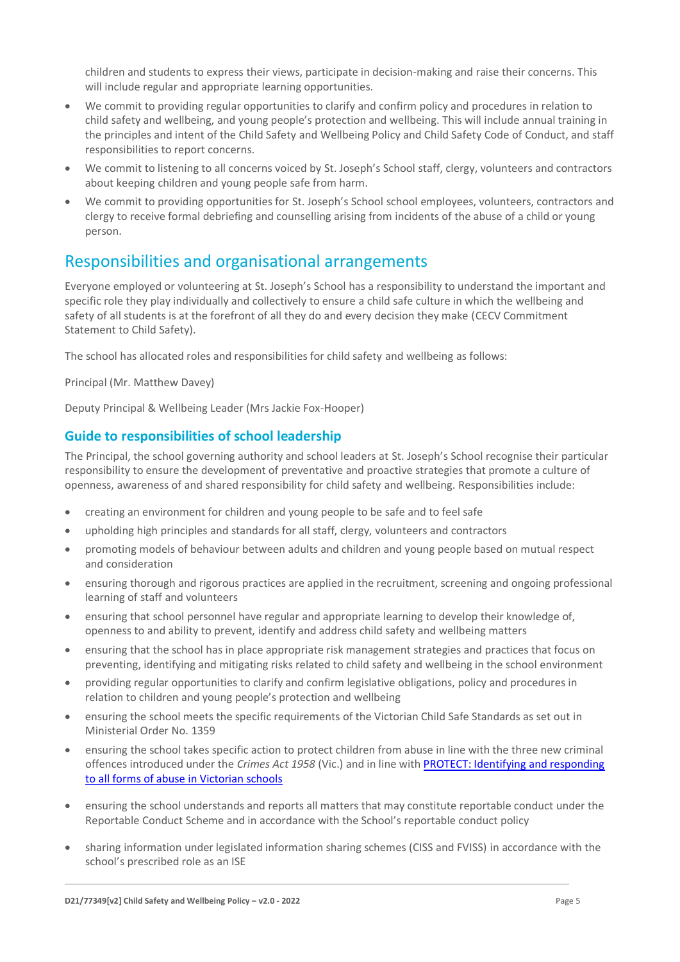children and students to express their views, participate in decision-making and raise their concerns. This will include regular and appropriate learning opportunities.

- We commit to providing regular opportunities to clarify and confirm policy and procedures in relation to child safety and wellbeing, and young people's protection and wellbeing. This will include annual training in the principles and intent of the Child Safety and Wellbeing Policy and Child Safety Code of Conduct, and staff responsibilities to report concerns.
- We commit to listening to all concerns voiced by St. Joseph's School staff, clergy, volunteers and contractors about keeping children and young people safe from harm.
- We commit to providing opportunities for St. Joseph's School school employees, volunteers, contractors and clergy to receive formal debriefing and counselling arising from incidents of the abuse of a child or young person.

## Responsibilities and organisational arrangements

Everyone employed or volunteering at St. Joseph's School has a responsibility to understand the important and specific role they play individually and collectively to ensure a child safe culture in which the wellbeing and safety of all students is at the forefront of all they do and every decision they make (CECV Commitment Statement to Child Safety).

The school has allocated roles and responsibilities for child safety and wellbeing as follows:

Principal (Mr. Matthew Davey)

Deputy Principal & Wellbeing Leader (Mrs Jackie Fox-Hooper)

#### **Guide to responsibilities of school leadership**

The Principal, the school governing authority and school leaders at St. Joseph's School recognise their particular responsibility to ensure the development of preventative and proactive strategies that promote a culture of openness, awareness of and shared responsibility for child safety and wellbeing. Responsibilities include:

- creating an environment for children and young people to be safe and to feel safe
- upholding high principles and standards for all staff, clergy, volunteers and contractors
- promoting models of behaviour between adults and children and young people based on mutual respect and consideration
- ensuring thorough and rigorous practices are applied in the recruitment, screening and ongoing professional learning of staff and volunteers
- ensuring that school personnel have regular and appropriate learning to develop their knowledge of, openness to and ability to prevent, identify and address child safety and wellbeing matters
- ensuring that the school has in place appropriate risk management strategies and practices that focus on preventing, identifying and mitigating risks related to child safety and wellbeing in the school environment
- providing regular opportunities to clarify and confirm legislative obligations, policy and procedures in relation to children and young people's protection and wellbeing
- ensuring the school meets the specific requirements of the Victorian Child Safe Standards as set out in Ministerial Order No. 1359
- ensuring the school takes specific action to protect children from abuse in line with the three new criminal offences introduced under the *Crimes Act 1958* (Vic.) and in line wit[h PROTECT: Identifying and responding](http://www.cecv.catholic.edu.au/getmedia/ebe135a4-d1b3-48a0-81fe-50d4fc451bcd/Identifying-and-Responding-to-All-Forms-of-Abuse.aspx)  [to all forms of abuse in Victorian schools](http://www.cecv.catholic.edu.au/getmedia/ebe135a4-d1b3-48a0-81fe-50d4fc451bcd/Identifying-and-Responding-to-All-Forms-of-Abuse.aspx)
- ensuring the school understands and reports all matters that may constitute reportable conduct under the Reportable Conduct Scheme and in accordance with the School's reportable conduct policy
- sharing information under legislated information sharing schemes (CISS and FVISS) in accordance with the school's prescribed role as an ISE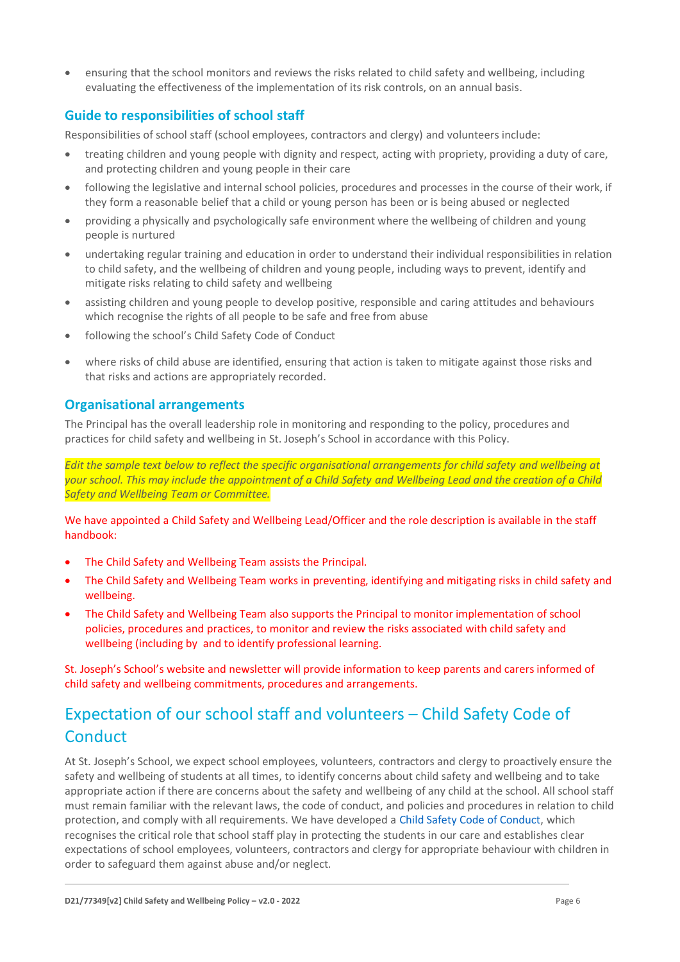• ensuring that the school monitors and reviews the risks related to child safety and wellbeing, including evaluating the effectiveness of the implementation of its risk controls, on an annual basis.

### **Guide to responsibilities of school staff**

Responsibilities of school staff (school employees, contractors and clergy) and volunteers include:

- treating children and young people with dignity and respect, acting with propriety, providing a duty of care, and protecting children and young people in their care
- following the legislative and internal school policies, procedures and processes in the course of their work, if they form a reasonable belief that a child or young person has been or is being abused or neglected
- providing a physically and psychologically safe environment where the wellbeing of children and young people is nurtured
- undertaking regular training and education in order to understand their individual responsibilities in relation to child safety, and the wellbeing of children and young people, including ways to prevent, identify and mitigate risks relating to child safety and wellbeing
- assisting children and young people to develop positive, responsible and caring attitudes and behaviours which recognise the rights of all people to be safe and free from abuse
- following the school's Child Safety Code of Conduct
- where risks of child abuse are identified, ensuring that action is taken to mitigate against those risks and that risks and actions are appropriately recorded.

### **Organisational arrangements**

The Principal has the overall leadership role in monitoring and responding to the policy, procedures and practices for child safety and wellbeing in St. Joseph's School in accordance with this Policy.

*Edit the sample text below to reflect the specific organisational arrangements for child safety and wellbeing at your school. This may include the appointment of a Child Safety and Wellbeing Lead and the creation of a Child Safety and Wellbeing Team or Committee.*

We have appointed a Child Safety and Wellbeing Lead/Officer and the role description is available in the staff handbook:

- The Child Safety and Wellbeing Team assists the Principal.
- The Child Safety and Wellbeing Team works in preventing, identifying and mitigating risks in child safety and wellbeing.
- The Child Safety and Wellbeing Team also supports the Principal to monitor implementation of school policies, procedures and practices, to monitor and review the risks associated with child safety and wellbeing (including by and to identify professional learning.

St. Joseph's School's website and newsletter will provide information to keep parents and carers informed of child safety and wellbeing commitments, procedures and arrangements.

# Expectation of our school staff and volunteers – Child Safety Code of **Conduct**

At St. Joseph's School, we expect school employees, volunteers, contractors and clergy to proactively ensure the safety and wellbeing of students at all times, to identify concerns about child safety and wellbeing and to take appropriate action if there are concerns about the safety and wellbeing of any child at the school. All school staff must remain familiar with the relevant laws, the code of conduct, and policies and procedures in relation to child protection, and comply with all requirements. We have developed [a Child Safety Code of Conduct,](https://www.sjbwickw.catholic.edu.au/_files/ugd/c234ff_8fc52bf64deb49d9b6a7abe59a0e5adc.pdf) which recognises the critical role that school staff play in protecting the students in our care and establishes clear expectations of school employees, volunteers, contractors and clergy for appropriate behaviour with children in order to safeguard them against abuse and/or neglect.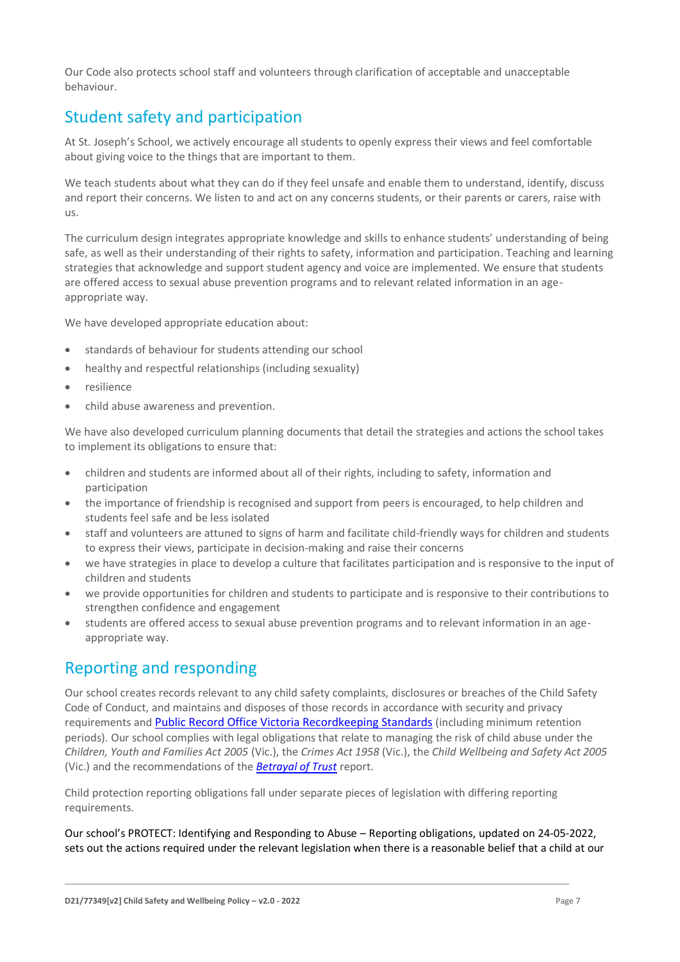Our Code also protects school staff and volunteers through clarification of acceptable and unacceptable behaviour.

# Student safety and participation

At St. Joseph's School, we actively encourage all students to openly express their views and feel comfortable about giving voice to the things that are important to them.

We teach students about what they can do if they feel unsafe and enable them to understand, identify, discuss and report their concerns. We listen to and act on any concerns students, or their parents or carers, raise with us.

The curriculum design integrates appropriate knowledge and skills to enhance students' understanding of being safe, as well as their understanding of their rights to safety, information and participation. Teaching and learning strategies that acknowledge and support student agency and voice are implemented. We ensure that students are offered access to sexual abuse prevention programs and to relevant related information in an ageappropriate way.

We have developed appropriate education about:

- standards of behaviour for students attending our school
- healthy and respectful relationships (including sexuality)
- resilience
- child abuse awareness and prevention.

We have also developed curriculum planning documents that detail the strategies and actions the school takes to implement its obligations to ensure that:

- children and students are informed about all of their rights, including to safety, information and participation
- the importance of friendship is recognised and support from peers is encouraged, to help children and students feel safe and be less isolated
- staff and volunteers are attuned to signs of harm and facilitate child-friendly ways for children and students to express their views, participate in decision-making and raise their concerns
- we have strategies in place to develop a culture that facilitates participation and is responsive to the input of children and students
- we provide opportunities for children and students to participate and is responsive to their contributions to strengthen confidence and engagement
- students are offered access to sexual abuse prevention programs and to relevant information in an ageappropriate way.

## Reporting and responding

Our school creates records relevant to any child safety complaints, disclosures or breaches of the Child Safety Code of Conduct, and maintains and disposes of those records in accordance with security and privacy requirements and [Public Record Office Victoria Recordkeeping Standards](https://prov.vic.gov.au/sites/default/files/files/documents/1906v1.0.pdf) (including minimum retention periods). Our school complies with legal obligations that relate to managing the risk of child abuse under the *Children, Youth and Families Act 2005* (Vic.), the *Crimes Act 1958* (Vic.), the *Child Wellbeing and Safety Act 2005* (Vic.) and the recommendations of the *[Betrayal of Trust](http://www.parliament.vic.gov.au/fcdc/article/1788)* report.

Child protection reporting obligations fall under separate pieces of legislation with differing reporting requirements.

Our school's [PROTECT: Identifying and Responding to Abuse](https://c234ffca-8cfb-4fe6-9261-9dadc465f40e.usrfiles.com/ugd/c234ff_fc0d39dfe7464c70a9f1e40114e8b58c.pdf) – Reporting obligations, updated on 24-05-2022, sets out the actions required under the relevant legislation when there is a reasonable belief that a child at our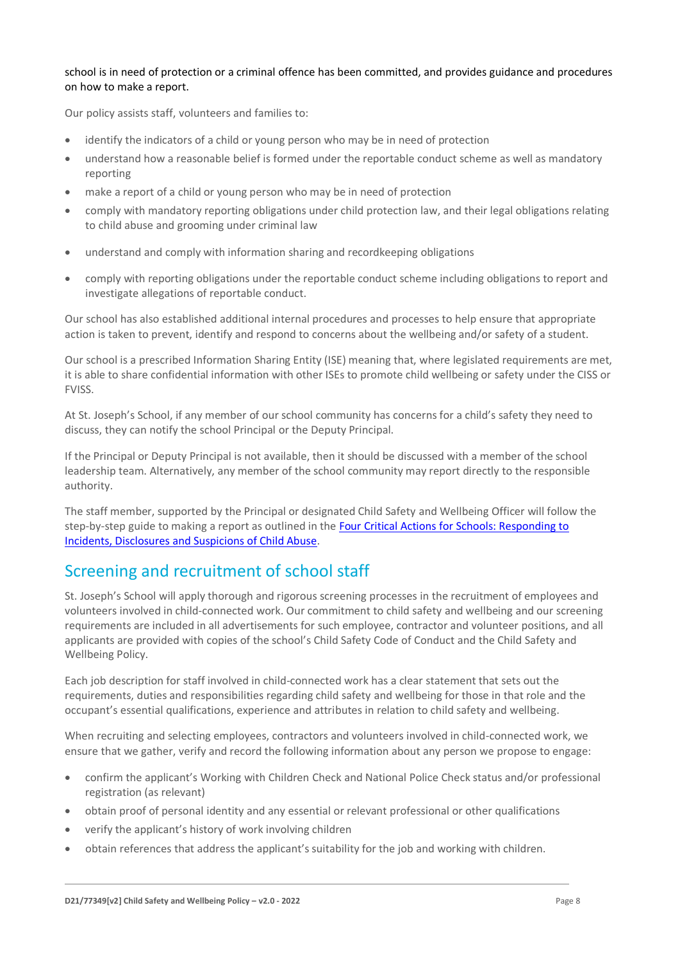#### school is in need of protection or a criminal offence has been committed, and provides guidance and procedures on how to make a report.

Our policy assists staff, volunteers and families to:

- identify the indicators of a child or young person who may be in need of protection
- understand how a reasonable belief is formed under the reportable conduct scheme as well as mandatory reporting
- make a report of a child or young person who may be in need of protection
- comply with mandatory reporting obligations under child protection law, and their legal obligations relating to child abuse and grooming under criminal law
- understand and comply with information sharing and recordkeeping obligations
- comply with reporting obligations under the reportable conduct scheme including obligations to report and investigate allegations of reportable conduct.

Our school has also established additional internal procedures and processes to help ensure that appropriate action is taken to prevent, identify and respond to concerns about the wellbeing and/or safety of a student.

Our school is a prescribed Information Sharing Entity (ISE) meaning that, where legislated requirements are met, it is able to share confidential information with other ISEs to promote child wellbeing or safety under the CISS or FVISS.

At St. Joseph's School, if any member of our school community has concerns for a child's safety they need to discuss, they can notify the school Principal or the Deputy Principal.

If the Principal or Deputy Principal is not available, then it should be discussed with a member of the school leadership team. Alternatively, any member of the school community may report directly to the responsible authority.

The staff member, supported by the Principal or designated Child Safety and Wellbeing Officer will follow the step-by-step guide to making a report as outlined in th[e Four Critical Actions for Schools: Responding to](https://www.education.vic.gov.au/Documents/about/programs/health/protect/FourCriticalActions_ChildAbuse.pdf)  [Incidents, Disclosures and Suspicions of Child Abuse.](https://www.education.vic.gov.au/Documents/about/programs/health/protect/FourCriticalActions_ChildAbuse.pdf)

# Screening and recruitment of school staff

St. Joseph's School will apply thorough and rigorous screening processes in the recruitment of employees and volunteers involved in child-connected work. Our commitment to child safety and wellbeing and our screening requirements are included in all advertisements for such employee, contractor and volunteer positions, and all applicants are provided with copies of the school's Child Safety Code of Conduct and the Child Safety and Wellbeing Policy.

Each job description for staff involved in child-connected work has a clear statement that sets out the requirements, duties and responsibilities regarding child safety and wellbeing for those in that role and the occupant's essential qualifications, experience and attributes in relation to child safety and wellbeing.

When recruiting and selecting employees, contractors and volunteers involved in child-connected work, we ensure that we gather, verify and record the following information about any person we propose to engage:

- confirm the applicant's Working with Children Check and National Police Check status and/or professional registration (as relevant)
- obtain proof of personal identity and any essential or relevant professional or other qualifications
- verify the applicant's history of work involving children
- obtain references that address the applicant's suitability for the job and working with children.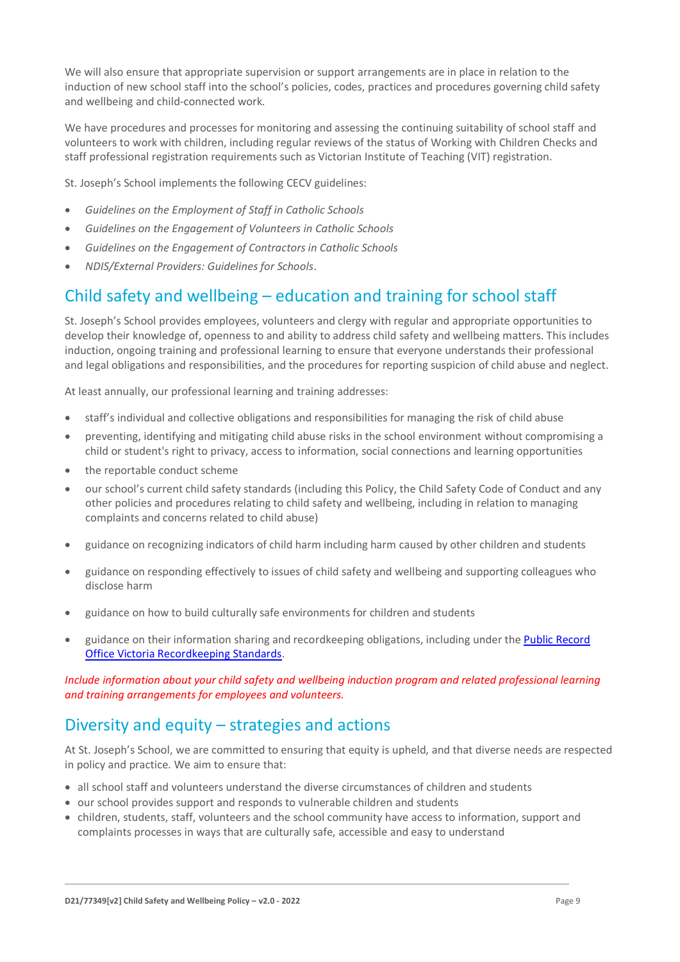We will also ensure that appropriate supervision or support arrangements are in place in relation to the induction of new school staff into the school's policies, codes, practices and procedures governing child safety and wellbeing and child-connected work.

We have procedures and processes for monitoring and assessing the continuing suitability of school staff and volunteers to work with children, including regular reviews of the status of Working with Children Checks and staff professional registration requirements such as Victorian Institute of Teaching (VIT) registration.

St. Joseph's School implements the following CECV guidelines:

- *Guidelines on the Employment of Staff in Catholic Schools*
- *Guidelines on the Engagement of Volunteers in Catholic Schools*
- *Guidelines on the Engagement of Contractors in Catholic Schools*
- *NDIS/External Providers: Guidelines for Schools*.

# Child safety and wellbeing – education and training for school staff

St. Joseph's School provides employees, volunteers and clergy with regular and appropriate opportunities to develop their knowledge of, openness to and ability to address child safety and wellbeing matters. This includes induction, ongoing training and professional learning to ensure that everyone understands their professional and legal obligations and responsibilities, and the procedures for reporting suspicion of child abuse and neglect.

At least annually, our professional learning and training addresses:

- staff's individual and collective obligations and responsibilities for managing the risk of child abuse
- preventing, identifying and mitigating child abuse risks in the school environment without compromising a child or student's right to privacy, access to information, social connections and learning opportunities
- the reportable conduct scheme
- our school's current child safety standards (including this Policy, the Child Safety Code of Conduct and any other policies and procedures relating to child safety and wellbeing, including in relation to managing complaints and concerns related to child abuse)
- guidance on recognizing indicators of child harm including harm caused by other children and students
- guidance on responding effectively to issues of child safety and wellbeing and supporting colleagues who disclose harm
- guidance on how to build culturally safe environments for children and students
- guidance on their information sharing and recordkeeping obligations, including under th[e Public Record](https://prov.vic.gov.au/sites/default/files/files/documents/1906v1.0.pdf)  [Office Victoria Recordkeeping Standards.](https://prov.vic.gov.au/sites/default/files/files/documents/1906v1.0.pdf)

*Include information about your child safety and wellbeing induction program and related professional learning and training arrangements for employees and volunteers.*

## Diversity and equity – strategies and actions

At St. Joseph's School, we are committed to ensuring that equity is upheld, and that diverse needs are respected in policy and practice. We aim to ensure that:

- all school staff and volunteers understand the diverse circumstances of children and students
- our school provides support and responds to vulnerable children and students
- children, students, staff, volunteers and the school community have access to information, support and complaints processes in ways that are culturally safe, accessible and easy to understand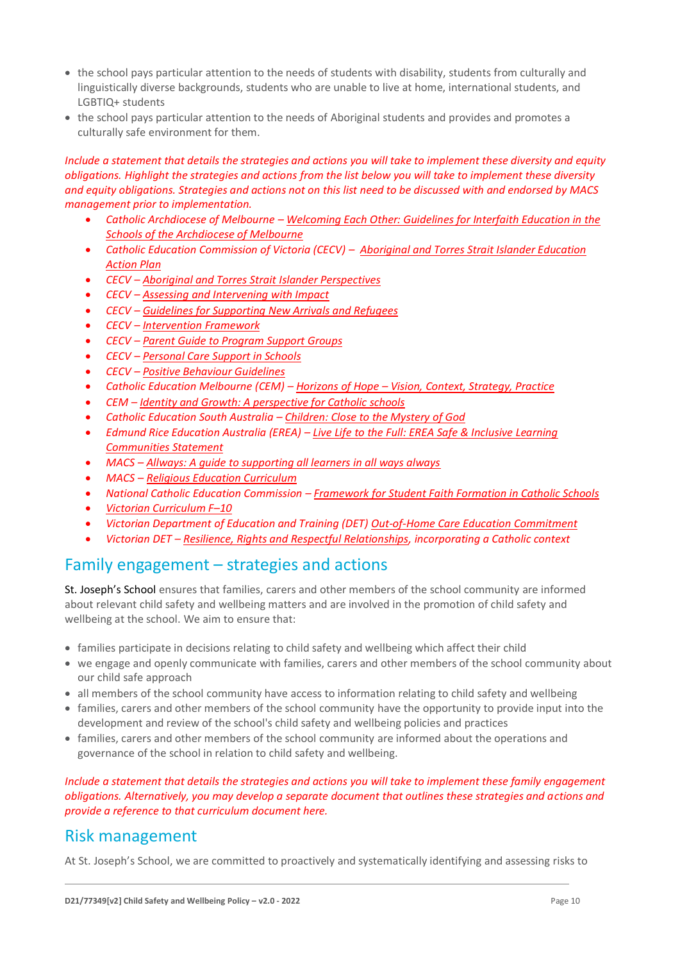- the school pays particular attention to the needs of students with disability, students from culturally and linguistically diverse backgrounds, students who are unable to live at home, international students, and LGBTIQ+ students
- the school pays particular attention to the needs of Aboriginal students and provides and promotes a culturally safe environment for them.

*Include a statement that details the strategies and actions you will take to implement these diversity and equity obligations. Highlight the strategies and actions from the list below you will take to implement these diversity and equity obligations. Strategies and actions not on this list need to be discussed with and endorsed by MACS management prior to implementation.*

- *Catholic Archdiocese of Melbourne – [Welcoming Each Other: Guidelines for Interfaith Education in the](http://www.cam1.org.au/eic/welcoming/index.html)  [Schools of the Archdiocese of Melbourne](http://www.cam1.org.au/eic/welcoming/index.html)*
- *Catholic Education Commission of Victoria (CECV) – [Aboriginal and Torres Strait Islander Education](https://www.cecv.catholic.edu.au/getmedia/bd494d6a-2d58-4f9b-94a2-85f3ab75e7ea/CECV-Aboriginal-and-Torres-Strait-Islander-Education-Action-Plan.aspx?ext=.pdf)  [Action Plan](https://www.cecv.catholic.edu.au/getmedia/bd494d6a-2d58-4f9b-94a2-85f3ab75e7ea/CECV-Aboriginal-and-Torres-Strait-Islander-Education-Action-Plan.aspx?ext=.pdf)*
- *CECV – [Aboriginal and Torres Strait Islander Perspectives](https://cevn.cecv.catholic.edu.au/Melb/Student-Support/Cultural-Diversity/ATSI-perspectives)*
- *CECV – [Assessing and Intervening with Impact](https://cevn.cecv.catholic.edu.au/Melb/Document-File/Students-Support/Practices/Assessing-and-intervening-with-impact)*
- *CECV – [Guidelines for Supporting New Arrivals and Refugees](https://www.cecv.catholic.edu.au/getmedia/b1a8935d-5f90-45e6-bb28-828e23c83366/CECV-Guidelines-for-New-Arrivals-and-Refugees-2020-2022.aspx?ext=.pdf)*
- *CECV – [Intervention Framework](https://www.cecv.catholic.edu.au/getmedia/757e80aa-1c1a-4510-8d8a-f1ca72a92adb/CECV-Intervention-Framework-2021-overview.aspx?ext=.pdf)*
- *CECV – [Parent Guide to Program Support Groups](https://www.cecv.catholic.edu.au/getmedia/8067c3e8-72f0-402c-9b78-60450b06c689/Parent-Guide-to-Program-Support-Groups.aspx?ext=.pdf)*
- *CECV – [Personal Care Support in Schools](https://www.cecv.catholic.edu.au/getmedia/56a1892e-fc3f-45f8-b057-daa8dd462dfd/CECV-Personal-Care-Support-in-Schools.aspx?ext=.pdf)*
- *CECV – [Positive Behaviour Guidelines](https://www.cecv.catholic.edu.au/getmedia/bc1d235d-9a98-4bb4-b3ac-84b50fa7c639/CECV-Positive-Behaviour-Guidelines_FINAL2.aspx?ext=.pdf)*
- *Catholic Education Melbourne (CEM) – Horizons of Hope – [Vision, Context, Strategy, Practice](https://cevn.cecv.catholic.edu.au/Melb/Curriculum/Horizons-of-Hope)*
- *CEM – [Identity and Growth: A perspective for Catholic schools](https://cevn.cecv.catholic.edu.au/Melb/MI/Identity-Growth)*
- *Catholic Education South Australia – [Children: Close to the Mystery of God](https://safeguardingchildren.acu.edu.au/-/media/feature/micrositesarticles/safeguardingchildren/children_close_to_mystery_of_god_-vjuly2015rev_20150825.pdf?la=en&hash=A5234C17459BAE41E54584FAA066B9A0)*
- *Edmund Rice Education Australia (EREA) – [Live Life to the Full: EREA Safe & Inclusive Learning](https://www.erea.edu.au/wp-content/uploads/2020/09/Safe_and_inclusive_Resource.pdf)  [Communities Statement](https://www.erea.edu.au/wp-content/uploads/2020/09/Safe_and_inclusive_Resource.pdf)*
- *MACS – [Allways: A guide to supporting all learners in all ways always](https://www.macs.vic.edu.au/CatholicEducationMelbourne/media/Documentation/Documents/Allways-A4-book-Guide-web.pdf)*
- *MACS – [Religious Education Curriculum](https://resource-macs.com/)*
- *National Catholic Education Commission – Framework for [Student Faith Formation in Catholic Schools](https://www.ncec.catholic.edu.au/doclink/student-faith-formation-in-catholic-schools-february-2022/eyJ0eXAiOiJKV1QiLCJhbGciOiJIUzI1NiJ9.eyJzdWIiOiJzdHVkZW50LWZhaXRoLWZvcm1hdGlvbi1pbi1jYXRob2xpYy1zY2hvb2xzLWZlYnJ1YXJ5LTIwMjIiLCJpYXQiOjE2NDQyNzM3NTYsImV4cCI6MTY0NDM2MDE1Nn0.jGLDyhU7PGuIaDiSI4Pv5ODo78qVCxDaI9e5o0m7CVg)*
- *[Victorian Curriculum F](https://victoriancurriculum.vcaa.vic.edu.au/)–10*
- *Victorian Department of Education and Training (DET) [Out-of-Home Care Education Commitment](https://www.cecv.catholic.edu.au/getmedia/11631bac-6208-4324-887e-0aca88189126/OoHC-Education-Commitment.aspx?ext=.pdf)*
- *Victorian DET – [Resilience, Rights and Respectful Relationships,](https://fuse.education.vic.gov.au/ResourcePackage/ByPin?pin=2JZX4R) incorporating a Catholic context*

### Family engagement – strategies and actions

St. Joseph's School ensures that families, carers and other members of the school community are informed about relevant child safety and wellbeing matters and are involved in the promotion of child safety and wellbeing at the school. We aim to ensure that:

- families participate in decisions relating to child safety and wellbeing which affect their child
- we engage and openly communicate with families, carers and other members of the school community about our child safe approach
- all members of the school community have access to information relating to child safety and wellbeing
- families, carers and other members of the school community have the opportunity to provide input into the development and review of the school's child safety and wellbeing policies and practices
- families, carers and other members of the school community are informed about the operations and governance of the school in relation to child safety and wellbeing.

*Include a statement that details the strategies and actions you will take to implement these family engagement obligations. Alternatively, you may develop a separate document that outlines these strategies and actions and provide a reference to that curriculum document here.*

## Risk management

At St. Joseph's School, we are committed to proactively and systematically identifying and assessing risks to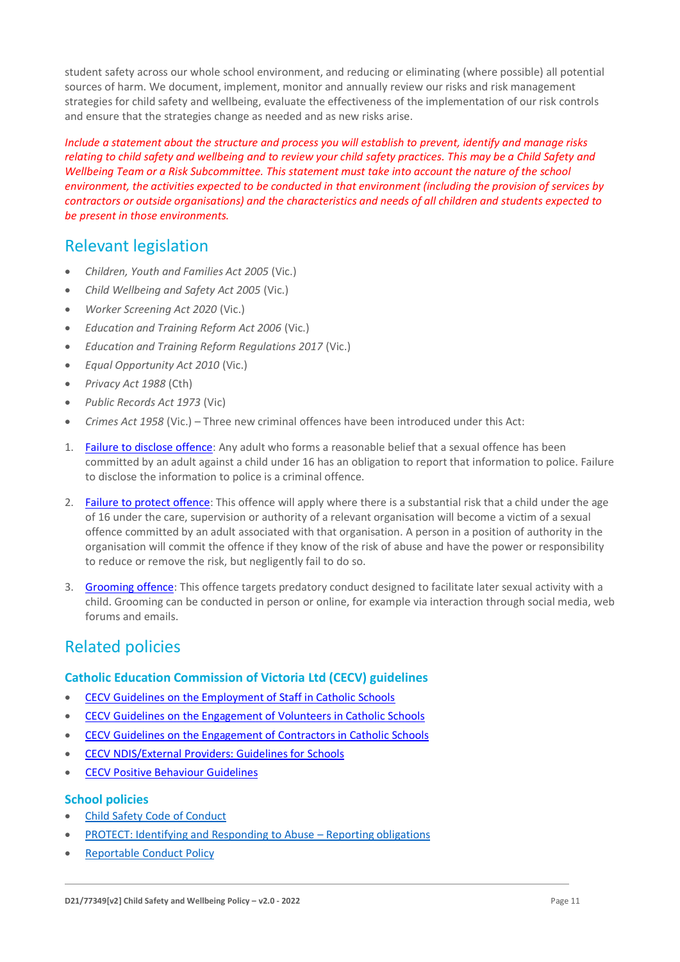student safety across our whole school environment, and reducing or eliminating (where possible) all potential sources of harm. We document, implement, monitor and annually review our risks and risk management strategies for child safety and wellbeing, evaluate the effectiveness of the implementation of our risk controls and ensure that the strategies change as needed and as new risks arise.

*Include a statement about the structure and process you will establish to prevent, identify and manage risks relating to child safety and wellbeing and to review your child safety practices. This may be a Child Safety and Wellbeing Team or a Risk Subcommittee. This statement must take into account the nature of the school environment, the activities expected to be conducted in that environment (including the provision of services by contractors or outside organisations) and the characteristics and needs of all children and students expected to be present in those environments.*

# Relevant legislation

- *Children, Youth and Families Act 2005* (Vic.)
- *Child Wellbeing and Safety Act 2005* (Vic.)
- *Worker Screening Act 2020* (Vic.)
- *Education and Training Reform Act 2006* (Vic.)
- *Education and Training Reform Regulations 2017* (Vic.)
- *Equal Opportunity Act 2010* (Vic.)
- *Privacy Act 1988* (Cth)
- *Public Records Act 1973* (Vic)
- *Crimes Act 1958* (Vic.) Three new criminal offences have been introduced under this Act:
- 1. [Failure to disclose offence:](https://www.justice.vic.gov.au/safer-communities/protecting-children-and-families/failure-to-disclose-offence#%3A~%3Atext%3DIn%202014%2C%20the%20law%20in%20Victoria%20was%20changed%2Coffended%20against%20a%20child%20under%2016%20in%20Victoria) Any adult who forms a reasonable belief that a sexual offence has been committed by an adult against a child under 16 has an obligation to report that information to police. Failure to disclose the information to police is a criminal offence.
- 2. [Failure to protect offence:](https://www.justice.vic.gov.au/safer-communities/protecting-children-and-families/failure-to-protect-a-new-criminal-offence-to#%3A~%3Atext%3DFailure%20to%20protect%3A%20a%20new%20criminal%20offence%20to%2Cfrom%20sexual%20abuse%20and%20exposure%20to%20sexual%20offenders) This offence will apply where there is a substantial risk that a child under the age of 16 under the care, supervision or authority of a relevant organisation will become a victim of a sexual offence committed by an adult associated with that organisation. A person in a position of authority in the organisation will commit the offence if they know of the risk of abuse and have the power or responsibility to reduce or remove the risk, but negligently fail to do so.
- 3. [Grooming offence:](https://www.justice.vic.gov.au/safer-communities/protecting-children-and-families/grooming-offence) This offence targets predatory conduct designed to facilitate later sexual activity with a child. Grooming can be conducted in person or online, for example via interaction through social media, web forums and emails.

# Related policies

#### **Catholic Education Commission of Victoria Ltd (CECV) guidelines**

- [CECV Guidelines on the Employment of Staff in Catholic Schools](https://www.cecv.catholic.edu.au/getmedia/0393d7fb-2fb9-4e48-a05e-56b703dd62eb/Employment-Guidelines.aspx)
- [CECV Guidelines on the Engagement of Volunteers in Catholic Schools](https://www.cecv.catholic.edu.au/Media-Files/IR/Policies-Guidelines/Volunteers/Guidelines-on-the-Engagement-of-Volunteers.aspx)
- [CECV Guidelines on the Engagement of Contractors in Catholic Schools](https://www.cecv.catholic.edu.au/Media-Files/IR/Policies-Guidelines/Staff,-Contractors,-Volunteers/Contractor-Guidelines.aspx)
- [CECV NDIS/External Providers: Guidelines for Schools](https://www.cecv.catholic.edu.au/getmedia/cec12bdf-5e03-4d3a-ac47-504fe084f415/NDIS-External-Providers-Guidelines.aspx?ext=.pdf)
- [CECV Positive Behaviour Guidelines](https://www.cecv.catholic.edu.au/getmedia/bc1d235d-9a98-4bb4-b3ac-84b50fa7c639/CECV-Positive-Behaviour-Guidelines_FINAL2.aspx?ext=.pdf)

#### **School policies**

- [Child Safety Code of Conduct](https://c234ffca-8cfb-4fe6-9261-9dadc465f40e.usrfiles.com/ugd/c234ff_8fc52bf64deb49d9b6a7abe59a0e5adc.pdf)
- [PROTECT: Identifying and Responding to Abuse](https://c234ffca-8cfb-4fe6-9261-9dadc465f40e.usrfiles.com/ugd/c234ff_fc0d39dfe7464c70a9f1e40114e8b58c.pdf)  Reporting obligations
- [Reportable Conduct Policy](https://c234ffca-8cfb-4fe6-9261-9dadc465f40e.usrfiles.com/ugd/c234ff_f9022e8055f84ff88af66a5cf3aaa41b.pdf)